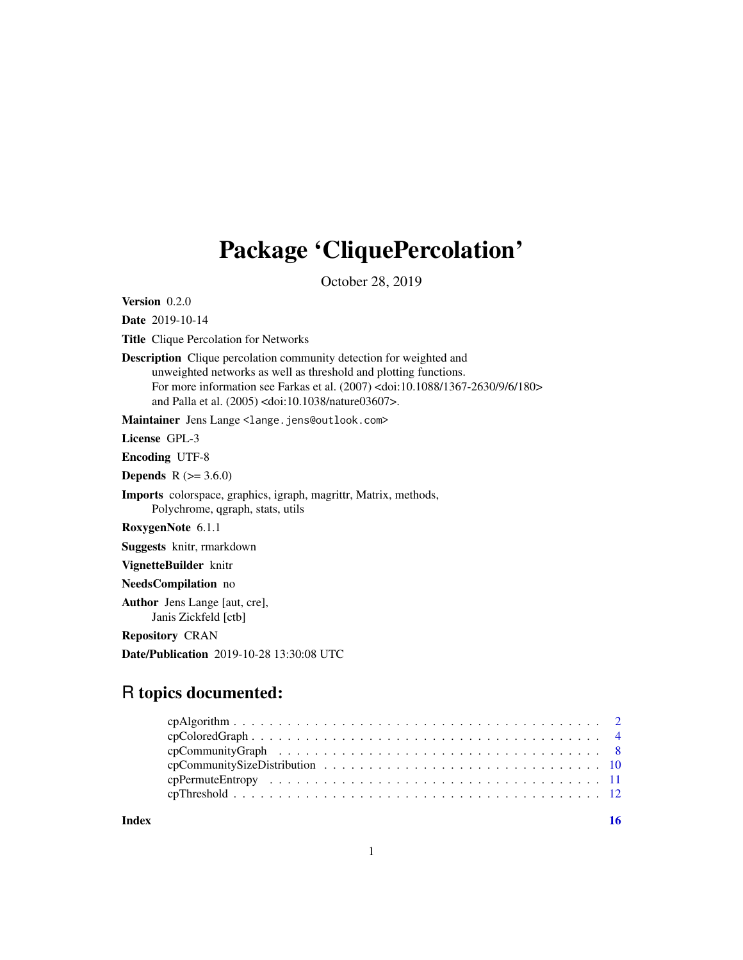## Package 'CliquePercolation'

October 28, 2019

<span id="page-0-0"></span>Version 0.2.0

Date 2019-10-14

Title Clique Percolation for Networks

Description Clique percolation community detection for weighted and unweighted networks as well as threshold and plotting functions. For more information see Farkas et al. (2007) <doi:10.1088/1367-2630/9/6/180> and Palla et al. (2005) <doi:10.1038/nature03607>.

Maintainer Jens Lange <lange.jens@outlook.com>

License GPL-3

Encoding UTF-8

**Depends** R  $(>= 3.6.0)$ 

Imports colorspace, graphics, igraph, magrittr, Matrix, methods, Polychrome, qgraph, stats, utils

RoxygenNote 6.1.1

Suggests knitr, rmarkdown

VignetteBuilder knitr

NeedsCompilation no

Author Jens Lange [aut, cre], Janis Zickfeld [ctb]

Repository CRAN

Date/Publication 2019-10-28 13:30:08 UTC

## R topics documented:

**Index** the contract of the contract of the contract of the contract of the contract of the contract of the contract of the contract of the contract of the contract of the contract of the contract of the contract of the co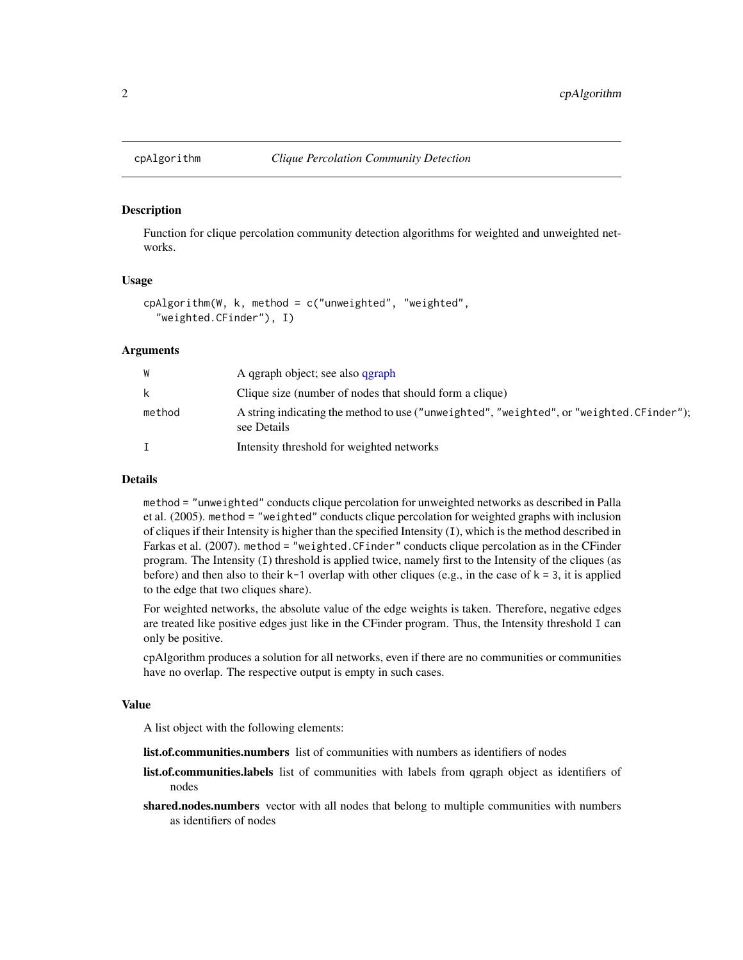#### Description

Function for clique percolation community detection algorithms for weighted and unweighted networks.

## Usage

```
cpAlgorithm(W, k, method = c("unweighted", "weighted",
  "weighted.CFinder"), I)
```
#### Arguments

| W      | A qgraph object; see also qgraph                                                                         |
|--------|----------------------------------------------------------------------------------------------------------|
| k      | Clique size (number of nodes that should form a clique)                                                  |
| method | A string indicating the method to use ("unweighted", "weighted", or "weighted. CFinder");<br>see Details |
|        | Intensity threshold for weighted networks                                                                |

#### Details

method = "unweighted" conducts clique percolation for unweighted networks as described in Palla et al. (2005). method = "weighted" conducts clique percolation for weighted graphs with inclusion of cliques if their Intensity is higher than the specified Intensity (I), which is the method described in Farkas et al. (2007). method = "weighted.CFinder" conducts clique percolation as in the CFinder program. The Intensity (I) threshold is applied twice, namely first to the Intensity of the cliques (as before) and then also to their  $k-1$  overlap with other cliques (e.g., in the case of  $k = 3$ , it is applied to the edge that two cliques share).

For weighted networks, the absolute value of the edge weights is taken. Therefore, negative edges are treated like positive edges just like in the CFinder program. Thus, the Intensity threshold I can only be positive.

cpAlgorithm produces a solution for all networks, even if there are no communities or communities have no overlap. The respective output is empty in such cases.

#### Value

A list object with the following elements:

- list.of.communities.numbers list of communities with numbers as identifiers of nodes
- list.of.communities.labels list of communities with labels from qgraph object as identifiers of nodes
- shared.nodes.numbers vector with all nodes that belong to multiple communities with numbers as identifiers of nodes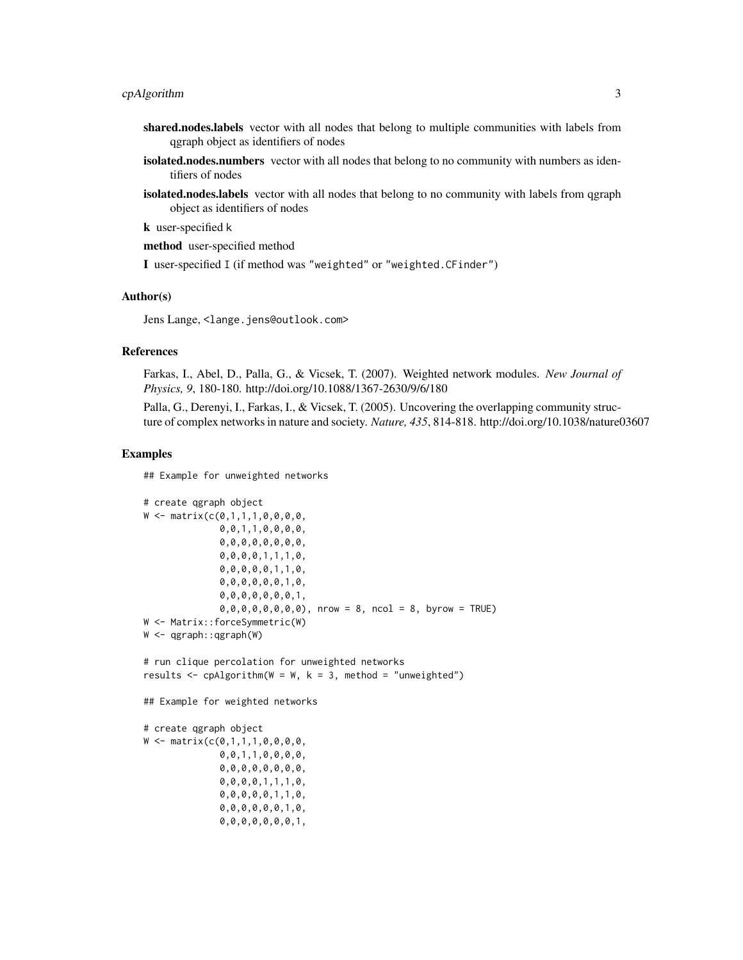- shared.nodes.labels vector with all nodes that belong to multiple communities with labels from qgraph object as identifiers of nodes
- isolated.nodes.numbers vector with all nodes that belong to no community with numbers as identifiers of nodes
- isolated.nodes.labels vector with all nodes that belong to no community with labels from qgraph object as identifiers of nodes

k user-specified k

method user-specified method

I user-specified I (if method was "weighted" or "weighted.CFinder")

#### Author(s)

Jens Lange, <lange.jens@outlook.com>

## References

Farkas, I., Abel, D., Palla, G., & Vicsek, T. (2007). Weighted network modules. *New Journal of Physics, 9*, 180-180. http://doi.org/10.1088/1367-2630/9/6/180

Palla, G., Derenyi, I., Farkas, I., & Vicsek, T. (2005). Uncovering the overlapping community structure of complex networks in nature and society. *Nature, 435*, 814-818. http://doi.org/10.1038/nature03607

#### Examples

## Example for unweighted networks

```
# create qgraph object
W \leq - matrix(c(0,1,1,1,0,0,0,0,0)0, 0, 1, 1, 0, 0, 0, 0,0,0,0,0,0,0,0,0,
              0,0,0,0,1,1,1,0,
              0,0,0,0,0,1,1,0,
              0,0,0,0,0,0,1,0,
              0,0,0,0,0,0,0,1,
              0,0,0,0,0,0,0,0), nrow = 8, ncol = 8, byrow = TRUE)
W <- Matrix::forceSymmetric(W)
W <- qgraph::qgraph(W)
# run clique percolation for unweighted networks
results \leq cpAlgorithm(W = W, k = 3, method = "unweighted")
## Example for weighted networks
# create qgraph object
W <- matrix(c(0,1,1,1,0,0,0,0,
              0,0,1,1,0,0,0,0,
              0,0,0,0,0,0,0,0,
              0,0,0,0,1,1,1,0,
              0,0,0,0,0,1,1,0,
              0,0,0,0,0,0,1,0,
              0,0,0,0,0,0,0,1,
```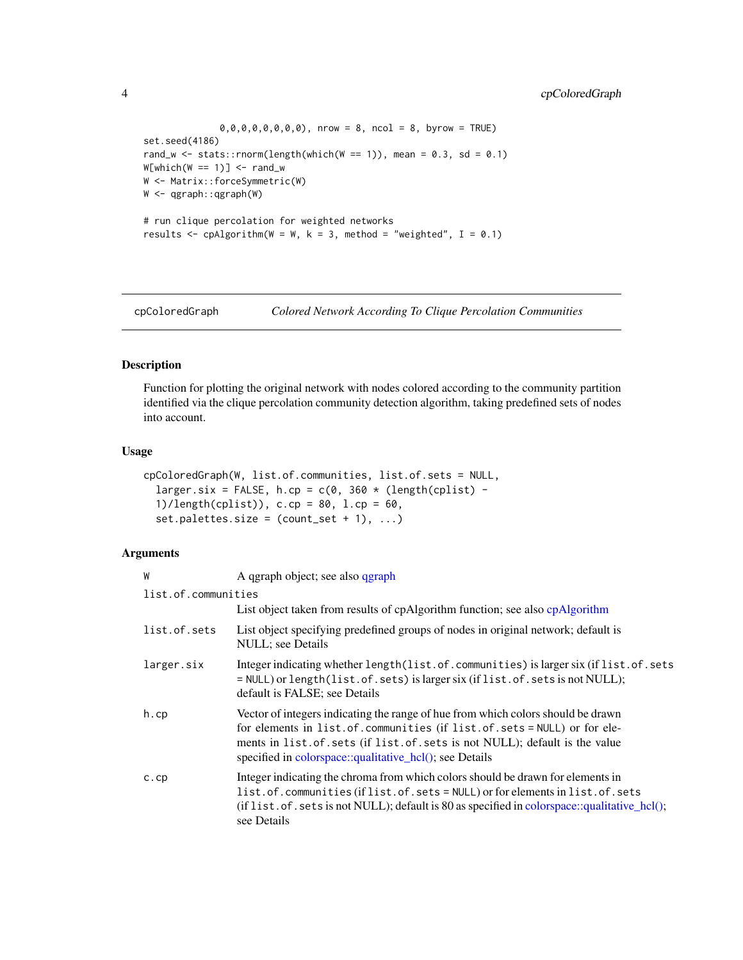<span id="page-3-0"></span> $0,0,0,0,0,0,0,0)$ , nrow = 8, ncol = 8, byrow = TRUE) set.seed(4186) rand\_w <- stats::rnorm(length(which(W == 1)), mean =  $0.3$ , sd =  $0.1$ )  $W[which(W == 1)] \leftarrow rand_w$ W <- Matrix::forceSymmetric(W) W <- qgraph::qgraph(W) # run clique percolation for weighted networks results  $\leq$  cpAlgorithm(W = W, k = 3, method = "weighted", I = 0.1)

cpColoredGraph *Colored Network According To Clique Percolation Communities*

#### Description

Function for plotting the original network with nodes colored according to the community partition identified via the clique percolation community detection algorithm, taking predefined sets of nodes into account.

#### Usage

```
cpColoredGraph(W, list.of.communities, list.of.sets = NULL,
  larger.six = FALSE, h.cp = c(0, 360 * (length(cplits) -1)/length(cplist)), c.cp = 80, l.cp = 60,
  set.palettes.size = (count_set + 1), ...
```
## Arguments

| W                   | A qgraph object; see also qgraph                                                                                                                                                                                                                                                                         |
|---------------------|----------------------------------------------------------------------------------------------------------------------------------------------------------------------------------------------------------------------------------------------------------------------------------------------------------|
| list.of.communities |                                                                                                                                                                                                                                                                                                          |
|                     | List object taken from results of cpAlgorithm function; see also cpAlgorithm                                                                                                                                                                                                                             |
| list.of.sets        | List object specifying predefined groups of nodes in original network; default is<br>NULL; see Details                                                                                                                                                                                                   |
| larger.six          | Integer indicating whether length(list.of.communities) is larger six (if list.of.sets<br>= NULL) or length(list.of.sets) is larger six (if list.of.sets is not NULL);<br>default is FALSE; see Details                                                                                                   |
| h.cp                | Vector of integers indicating the range of hue from which colors should be drawn<br>for elements in list. of. communities (if list. of. sets = NULL) or for ele-<br>ments in list.of.sets (if list.of.sets is not NULL); default is the value<br>specified in colorspace::qualitative_hcl(); see Details |
| c.c                 | Integer indicating the chroma from which colors should be drawn for elements in<br>list.of.communities (if list.of.sets = NULL) or for elements in list.of.sets<br>(if list. of. sets is not NULL); default is 80 as specified in colorspace::qualitative_hcl();<br>see Details                          |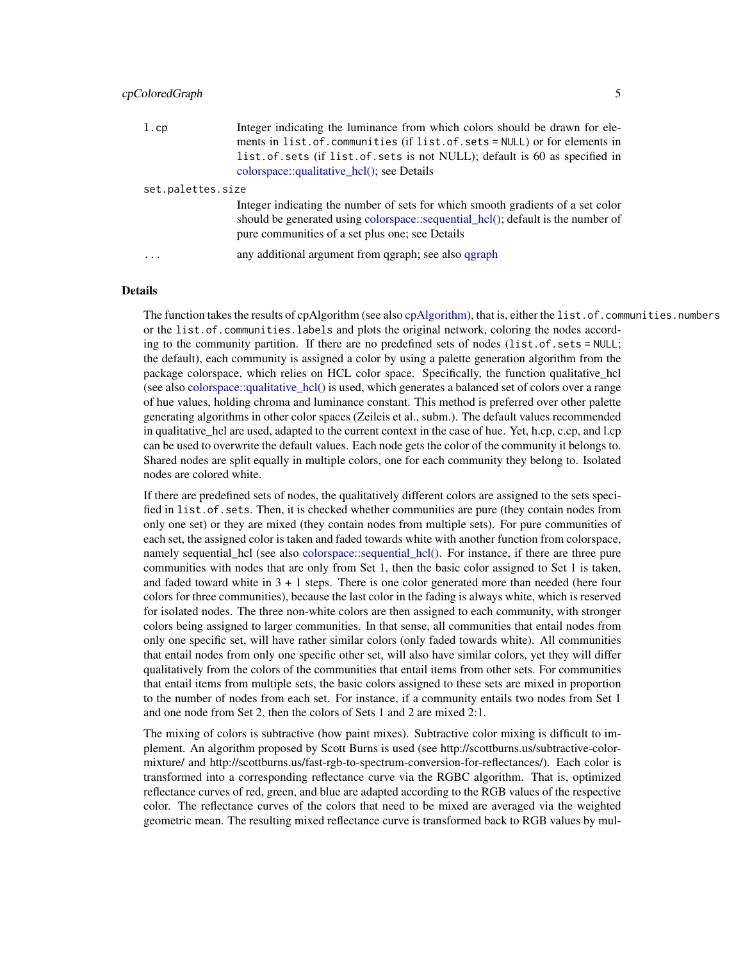<span id="page-4-0"></span>

| l.cp              | Integer indicating the luminance from which colors should be drawn for ele-<br>ments in list. of. communities (if list. of. sets = NULL) or for elements in<br>list.of.sets (if list.of.sets is not NULL); default is 60 as specified in<br>colorspace:: $qualitative hel()$ ; see Details |
|-------------------|--------------------------------------------------------------------------------------------------------------------------------------------------------------------------------------------------------------------------------------------------------------------------------------------|
| set.palettes.size |                                                                                                                                                                                                                                                                                            |
|                   | Integer indicating the number of sets for which smooth gradients of a set color<br>should be generated using colorspace::sequential_hcl(); default is the number of<br>pure communities of a set plus one; see Details                                                                     |
| $\ddotsc$         | any additional argument from qgraph; see also qgraph                                                                                                                                                                                                                                       |

#### Details

The function takes the results of cpAlgorithm (see also [cpAlgorithm\)](#page-1-1), that is, either the list.of.communities.numbers or the list.of.communities.labels and plots the original network, coloring the nodes according to the community partition. If there are no predefined sets of nodes (list.of.sets = NULL; the default), each community is assigned a color by using a palette generation algorithm from the package colorspace, which relies on HCL color space. Specifically, the function qualitative\_hcl (see also [colorspace::qualitative\\_hcl\(\)](#page-0-0) is used, which generates a balanced set of colors over a range of hue values, holding chroma and luminance constant. This method is preferred over other palette generating algorithms in other color spaces (Zeileis et al., subm.). The default values recommended in qualitative\_hcl are used, adapted to the current context in the case of hue. Yet, h.cp, c.cp, and l.cp can be used to overwrite the default values. Each node gets the color of the community it belongs to. Shared nodes are split equally in multiple colors, one for each community they belong to. Isolated nodes are colored white.

If there are predefined sets of nodes, the qualitatively different colors are assigned to the sets specified in list.of.sets. Then, it is checked whether communities are pure (they contain nodes from only one set) or they are mixed (they contain nodes from multiple sets). For pure communities of each set, the assigned color is taken and faded towards white with another function from colorspace, namely sequential\_hcl (see also [colorspace::sequential\\_hcl\(\).](#page-0-0) For instance, if there are three pure communities with nodes that are only from Set 1, then the basic color assigned to Set 1 is taken, and faded toward white in  $3 + 1$  steps. There is one color generated more than needed (here four colors for three communities), because the last color in the fading is always white, which is reserved for isolated nodes. The three non-white colors are then assigned to each community, with stronger colors being assigned to larger communities. In that sense, all communities that entail nodes from only one specific set, will have rather similar colors (only faded towards white). All communities that entail nodes from only one specific other set, will also have similar colors, yet they will differ qualitatively from the colors of the communities that entail items from other sets. For communities that entail items from multiple sets, the basic colors assigned to these sets are mixed in proportion to the number of nodes from each set. For instance, if a community entails two nodes from Set 1 and one node from Set 2, then the colors of Sets 1 and 2 are mixed 2:1.

The mixing of colors is subtractive (how paint mixes). Subtractive color mixing is difficult to implement. An algorithm proposed by Scott Burns is used (see http://scottburns.us/subtractive-colormixture/ and http://scottburns.us/fast-rgb-to-spectrum-conversion-for-reflectances/). Each color is transformed into a corresponding reflectance curve via the RGBC algorithm. That is, optimized reflectance curves of red, green, and blue are adapted according to the RGB values of the respective color. The reflectance curves of the colors that need to be mixed are averaged via the weighted geometric mean. The resulting mixed reflectance curve is transformed back to RGB values by mul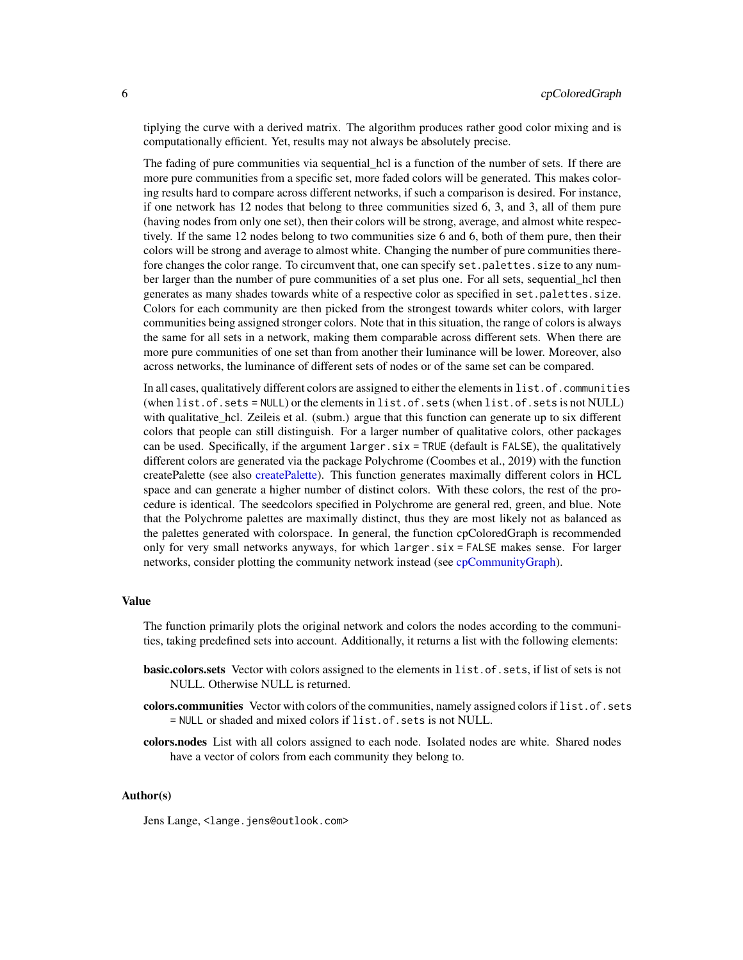<span id="page-5-0"></span>tiplying the curve with a derived matrix. The algorithm produces rather good color mixing and is computationally efficient. Yet, results may not always be absolutely precise.

The fading of pure communities via sequential hcl is a function of the number of sets. If there are more pure communities from a specific set, more faded colors will be generated. This makes coloring results hard to compare across different networks, if such a comparison is desired. For instance, if one network has 12 nodes that belong to three communities sized 6, 3, and 3, all of them pure (having nodes from only one set), then their colors will be strong, average, and almost white respectively. If the same 12 nodes belong to two communities size 6 and 6, both of them pure, then their colors will be strong and average to almost white. Changing the number of pure communities therefore changes the color range. To circumvent that, one can specify set.palettes.size to any number larger than the number of pure communities of a set plus one. For all sets, sequential\_hcl then generates as many shades towards white of a respective color as specified in set.palettes.size. Colors for each community are then picked from the strongest towards whiter colors, with larger communities being assigned stronger colors. Note that in this situation, the range of colors is always the same for all sets in a network, making them comparable across different sets. When there are more pure communities of one set than from another their luminance will be lower. Moreover, also across networks, the luminance of different sets of nodes or of the same set can be compared.

In all cases, qualitatively different colors are assigned to either the elements in list.of.communities (when list.of.sets = NULL) or the elements in list.of.sets (when list.of.sets is not NULL) with qualitative\_hcl. Zeileis et al. (subm.) argue that this function can generate up to six different colors that people can still distinguish. For a larger number of qualitative colors, other packages can be used. Specifically, if the argument  $l = x \cdot x = \text{TRUE}$  (default is FALSE), the qualitatively different colors are generated via the package Polychrome (Coombes et al., 2019) with the function createPalette (see also [createPalette\)](#page-0-0). This function generates maximally different colors in HCL space and can generate a higher number of distinct colors. With these colors, the rest of the procedure is identical. The seedcolors specified in Polychrome are general red, green, and blue. Note that the Polychrome palettes are maximally distinct, thus they are most likely not as balanced as the palettes generated with colorspace. In general, the function cpColoredGraph is recommended only for very small networks anyways, for which larger.six = FALSE makes sense. For larger networks, consider plotting the community network instead (see [cpCommunityGraph\)](#page-7-1).

#### Value

The function primarily plots the original network and colors the nodes according to the communities, taking predefined sets into account. Additionally, it returns a list with the following elements:

- basic.colors.sets Vector with colors assigned to the elements in list.of.sets, if list of sets is not NULL. Otherwise NULL is returned.
- colors.communities Vector with colors of the communities, namely assigned colors if list.of.sets = NULL or shaded and mixed colors if list.of.sets is not NULL.
- colors.nodes List with all colors assigned to each node. Isolated nodes are white. Shared nodes have a vector of colors from each community they belong to.

#### Author(s)

Jens Lange, <lange.jens@outlook.com>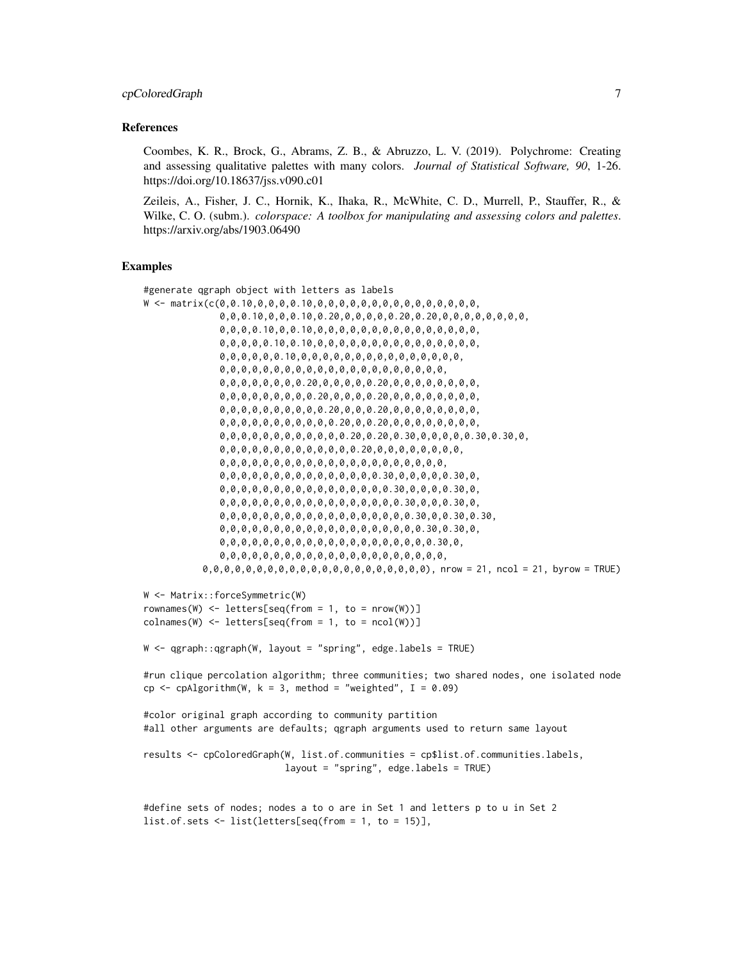#### References

Coombes, K. R., Brock, G., Abrams, Z. B., & Abruzzo, L. V. (2019). Polychrome: Creating and assessing qualitative palettes with many colors. *Journal of Statistical Software, 90*, 1-26. https://doi.org/10.18637/jss.v090.c01

Zeileis, A., Fisher, J. C., Hornik, K., Ihaka, R., McWhite, C. D., Murrell, P., Stauffer, R., & Wilke, C. O. (subm.). *colorspace: A toolbox for manipulating and assessing colors and palettes*. https://arxiv.org/abs/1903.06490

## Examples

```
#generate qgraph object with letters as labels
W <- matrix(c(0,0.10,0,0,0,0.10,0,0,0,0,0,0,0,0,0,0,0,0,0,0,0,
              0,0,0.10,0,0,0.10,0.20,0,0,0,0,0.20,0.20,0,0,0,0,0,0,0,0,
              0,0,0,0.10,0,0.10,0,0,0,0,0,0,0,0,0,0,0,0,0,0,0,
              0,0,0,0,0.10,0.10,0,0,0,0,0,0,0,0,0,0,0,0,0,0,0,
              0,0,0,0,0,0.10,0,0,0,0,0,0,0,0,0,0,0,0,0,0,0,
              0,0,0,0,0,0,0,0,0,0,0,0,0,0,0,0,0,0,0,0,0,
              0,0,0,0,0,0,0,0.20,0,0,0,0,0.20,0,0,0,0,0,0,0,0,
              0,0,0,0,0,0,0,0,0.20,0,0,0,0.20,0,0,0,0,0,0,0,0,
              0,0,0,0,0,0,0,0,0,0.20,0,0,0.20,0,0,0,0,0,0,0,0,
              0,0,0,0,0,0,0,0,0,0,0.20,0,0.20,0,0,0,0,0,0,0,0,
              0,0,0,0,0,0,0,0,0,0,0,0.20,0.20,0.30,0,0,0,0,0.30,0.30,0,
              0,0,0,0,0,0,0,0,0,0,0,0,0.20,0,0,0,0,0,0,0,0,
              0,0,0,0,0,0,0,0,0,0,0,0,0,0,0,0,0,0,0,0,0,
              0,0,0,0,0,0,0,0,0,0,0,0,0,0,0.30,0,0,0,0,0.30,0,
              0,0,0,0,0,0,0,0,0,0,0,0,0,0,0,0.30,0,0,0,0.30,0,
              0,0,0,0,0,0,0,0,0,0,0,0,0,0,0,0,0.30,0,0,0.30,0,
              0,0,0,0,0,0,0,0,0,0,0,0,0,0,0,0,0,0.30,0,0.30,0.30,
              0,0,0,0,0,0,0,0,0,0,0,0,0,0,0,0,0,0,0.30,0.30,0,
              0,0,0,0,0,0,0,0,0,0,0,0,0,0,0,0,0,0,0,0.30,0,
              0,0,0,0,0,0,0,0,0,0,0,0,0,0,0,0,0,0,0,0,0,
           0,0,0,0,0,0,0,0,0,0,0,0,0,0,0,0,0,0,0,0,0), nrow = 21, ncol = 21, byrow = TRUE)
W <- Matrix::forceSymmetric(W)
rownames(W) \leq letters[seq(from = 1, to = nrow(W))]
\text{colnames}(W) \leq \text{letters}[\text{seq}(\text{from} = 1, \text{to} = \text{ncol}(W))]W <- qgraph::qgraph(W, layout = "spring", edge.labels = TRUE)
#run clique percolation algorithm; three communities; two shared nodes, one isolated node
cp \leq -cpAlgorithm(W, k = 3, method = "weighted", I = 0.09)#color original graph according to community partition
#all other arguments are defaults; qgraph arguments used to return same layout
results <- cpColoredGraph(W, list.of.communities = cp$list.of.communities.labels,
                          layout = "spring", edge.labels = TRUE)
#define sets of nodes; nodes a to o are in Set 1 and letters p to u in Set 2
list.of.sets <- list(letters[seq(from = 1, to = 15)],
```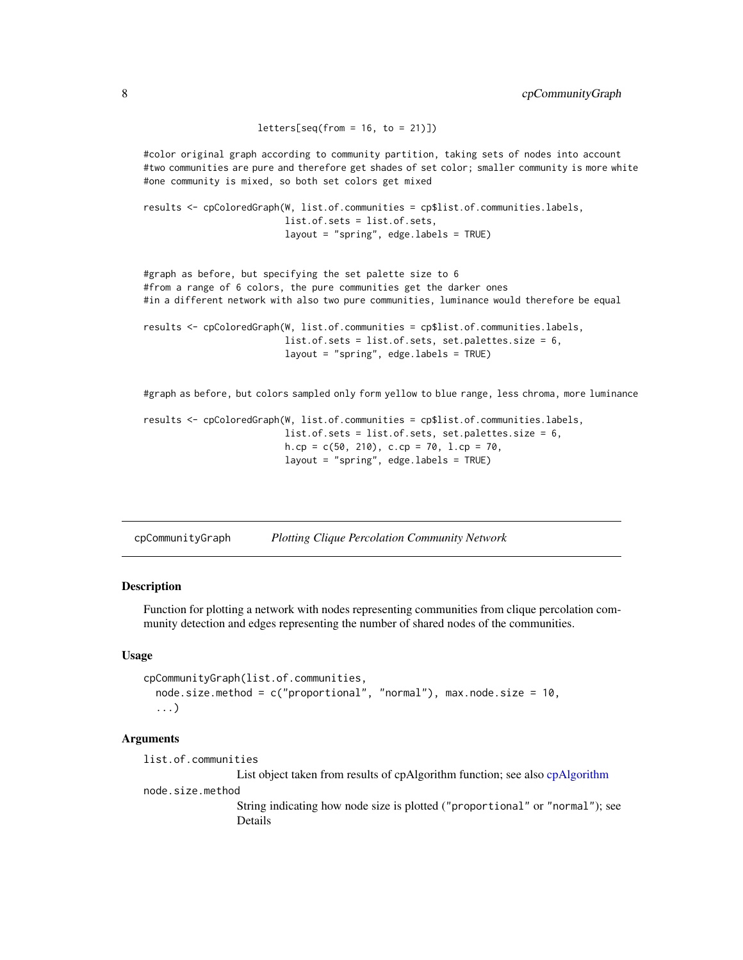```
letters[seq(from = 16, to = 21)])#color original graph according to community partition, taking sets of nodes into account
#two communities are pure and therefore get shades of set color; smaller community is more white
#one community is mixed, so both set colors get mixed
results <- cpColoredGraph(W, list.of.communities = cp$list.of.communities.labels,
                          list.of.sets = list.of.sets,
                          layout = "spring", edge.labels = TRUE)
#graph as before, but specifying the set palette size to 6
#from a range of 6 colors, the pure communities get the darker ones
#in a different network with also two pure communities, luminance would therefore be equal
results <- cpColoredGraph(W, list.of.communities = cp$list.of.communities.labels,
                          list.of.sets = list.of.sets, set.palettes.size = 6,
                          layout = "spring", edge.labels = TRUE)
#graph as before, but colors sampled only form yellow to blue range, less chroma, more luminance
results <- cpColoredGraph(W, list.of.communities = cp$list.of.communities.labels,
                          list.of.sets = list.of.sets, set.palettes.size = 6,
                          h.cp = c(50, 210), c.cp = 70, l.cp = 70,
                          layout = "spring", edge.labels = TRUE)
```
<span id="page-7-1"></span>cpCommunityGraph *Plotting Clique Percolation Community Network*

## Description

Function for plotting a network with nodes representing communities from clique percolation community detection and edges representing the number of shared nodes of the communities.

#### Usage

```
cpCommunityGraph(list.of.communities,
  node.size.method = c("proportional", "normal"), max.node.size = 10,
  ...)
```
#### Arguments

list.of.communities List object taken from results of cpAlgorithm function; see also [cpAlgorithm](#page-1-1) node.size.method

String indicating how node size is plotted ("proportional" or "normal"); see Details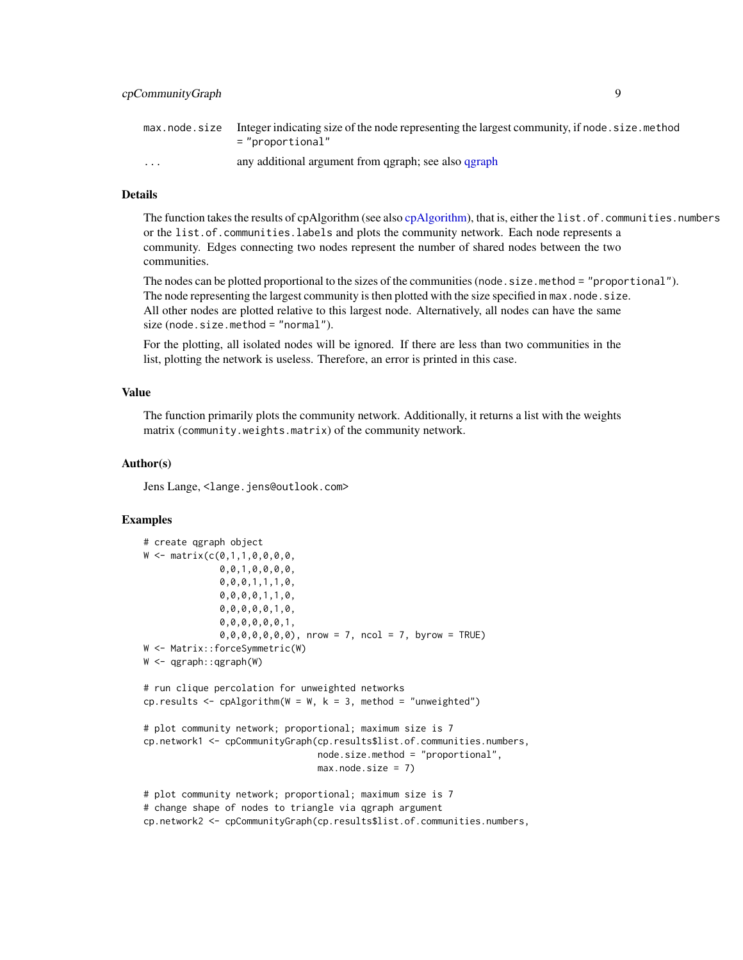<span id="page-8-0"></span>

|                         | max node size Integer indicating size of the node representing the largest community, if node size method<br>="proportional" |
|-------------------------|------------------------------------------------------------------------------------------------------------------------------|
| $\cdot$ $\cdot$ $\cdot$ | any additional argument from qgraph; see also qgraph                                                                         |

## Details

The function takes the results of cpAlgorithm (see also [cpAlgorithm\)](#page-1-1), that is, either the list.of.communities.numbers or the list.of.communities.labels and plots the community network. Each node represents a community. Edges connecting two nodes represent the number of shared nodes between the two communities.

The nodes can be plotted proportional to the sizes of the communities (node.size.method = "proportional"). The node representing the largest community is then plotted with the size specified in max.node.size. All other nodes are plotted relative to this largest node. Alternatively, all nodes can have the same size (node.size.method = "normal").

For the plotting, all isolated nodes will be ignored. If there are less than two communities in the list, plotting the network is useless. Therefore, an error is printed in this case.

## Value

The function primarily plots the community network. Additionally, it returns a list with the weights matrix (community.weights.matrix) of the community network.

#### Author(s)

Jens Lange, <lange.jens@outlook.com>

## Examples

```
# create qgraph object
W \leq - matrix(c(0,1,1,0,0,0,0,0)0,0,1,0,0,0,0,
              0,0,0,1,1,1,0,
              0,0,0,0,1,1,0,
              0,0,0,0,0,1,0,
              0,0,0,0,0,0,1,
              0,0,0,0,0,0,0), nrow = 7, ncol = 7, byrow = TRUE)
W <- Matrix::forceSymmetric(W)
W <- qgraph::qgraph(W)
# run clique percolation for unweighted networks
cp.results \leq cpAlgorithm(W = W, k = 3, method = "unweighted")
# plot community network; proportional; maximum size is 7
cp.network1 <- cpCommunityGraph(cp.results$list.of.communities.numbers,
                                node.size.method = "proportional",
                                max.node.size = 7)# plot community network; proportional; maximum size is 7
# change shape of nodes to triangle via qgraph argument
cp.network2 <- cpCommunityGraph(cp.results$list.of.communities.numbers,
```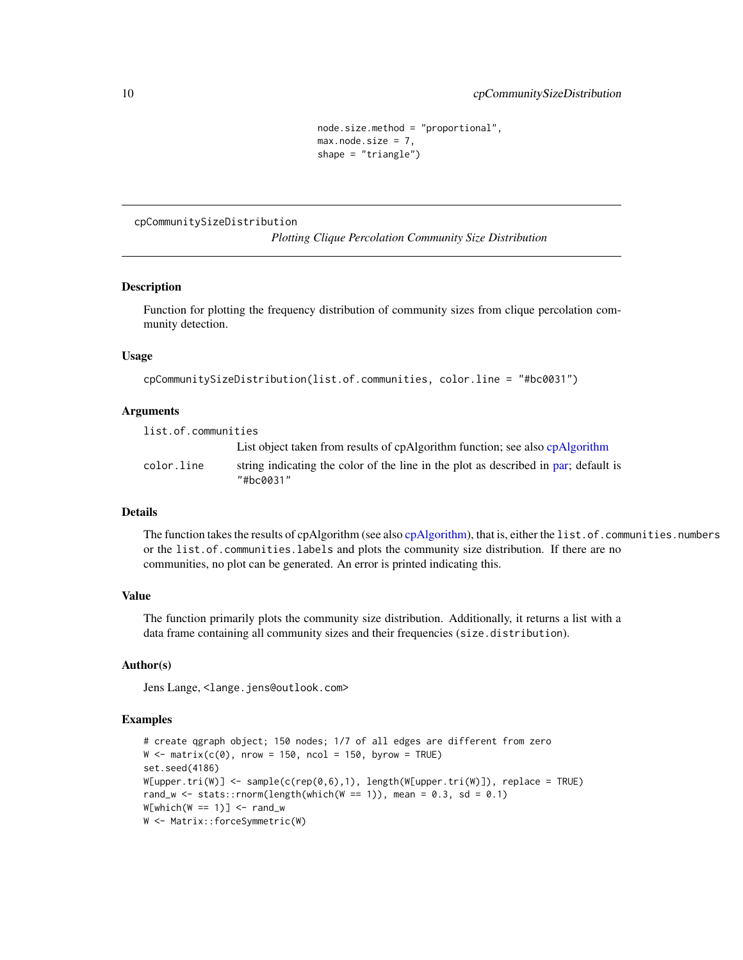```
node.size.method = "proportional",
max.node.size = 7,
shape = "triangle")
```
<span id="page-9-0"></span>cpCommunitySizeDistribution

*Plotting Clique Percolation Community Size Distribution*

#### **Description**

Function for plotting the frequency distribution of community sizes from clique percolation community detection.

## Usage

```
cpCommunitySizeDistribution(list.of.communities, color.line = "#bc0031")
```
#### Arguments

list.of.communities List object taken from results of cpAlgorithm function; see also [cpAlgorithm](#page-1-1) color.line string indicating the color of the line in the plot as described in [par;](#page-0-0) default is "#bc0031"

## Details

The function takes the results of cpAlgorithm (see also [cpAlgorithm\)](#page-1-1), that is, either the list.of.communities.numbers or the list.of.communities.labels and plots the community size distribution. If there are no communities, no plot can be generated. An error is printed indicating this.

## Value

The function primarily plots the community size distribution. Additionally, it returns a list with a data frame containing all community sizes and their frequencies (size.distribution).

## Author(s)

Jens Lange, <lange.jens@outlook.com>

## Examples

```
# create qgraph object; 150 nodes; 1/7 of all edges are different from zero
W \le - matrix(c(0), nrow = 150, ncol = 150, byrow = TRUE)
set.seed(4186)
W[upper.tri(W)] <- sample(c(rep(0,6),1), length(W[upper.tri(W)]), replace = TRUE)
rand_w <- stats::rnorm(length(which(W == 1)), mean = 0.3, sd = 0.1)
W[which(W == 1)] \leftarrow rand_wW <- Matrix::forceSymmetric(W)
```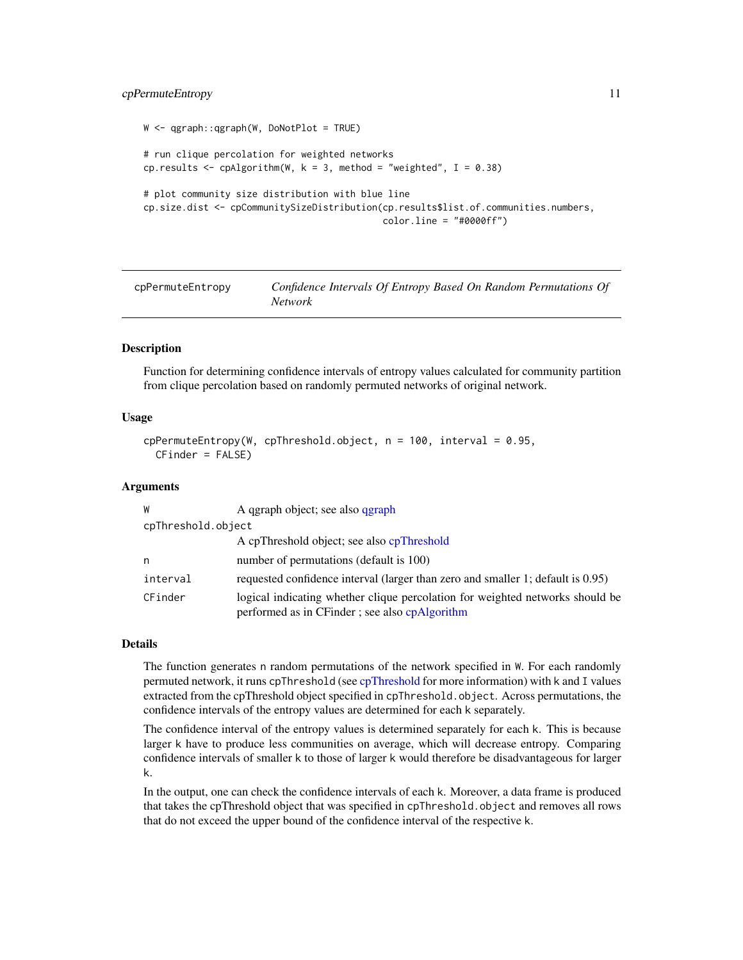## <span id="page-10-0"></span>cpPermuteEntropy 11

```
W <- qgraph::qgraph(W, DoNotPlot = TRUE)
# run clique percolation for weighted networks
cp.results \leq cpAlgorithm(W, k = 3, method = "weighted", I = 0.38)
# plot community size distribution with blue line
cp.size.dist <- cpCommunitySizeDistribution(cp.results$list.of.communities.numbers,
                                            color.line = "#0000ff")
```

| cpPermuteEntropy | Confidence Intervals Of Entropy Based On Random Permutations Of |
|------------------|-----------------------------------------------------------------|
|                  | <i>Network</i>                                                  |

#### **Description**

Function for determining confidence intervals of entropy values calculated for community partition from clique percolation based on randomly permuted networks of original network.

#### Usage

```
cpPermuteEntropy(W, cpThreshold.object, n = 100, interval = 0.95,
 CFinder = FALSE)
```
## Arguments

| W                  | A qgraph object; see also qgraph                                                                                               |
|--------------------|--------------------------------------------------------------------------------------------------------------------------------|
| cpThreshold.object |                                                                                                                                |
|                    | A cpThreshold object; see also cpThreshold                                                                                     |
| n                  | number of permutations (default is 100)                                                                                        |
| interval           | requested confidence interval (larger than zero and smaller 1; default is 0.95)                                                |
| CFinder            | logical indicating whether clique percolation for weighted networks should be<br>performed as in CFinder; see also cpAlgorithm |

#### Details

The function generates n random permutations of the network specified in W. For each randomly permuted network, it runs cpThreshold (see [cpThreshold](#page-11-1) for more information) with k and I values extracted from the cpThreshold object specified in cpThreshold.object. Across permutations, the confidence intervals of the entropy values are determined for each k separately.

The confidence interval of the entropy values is determined separately for each k. This is because larger k have to produce less communities on average, which will decrease entropy. Comparing confidence intervals of smaller k to those of larger k would therefore be disadvantageous for larger k.

In the output, one can check the confidence intervals of each k. Moreover, a data frame is produced that takes the cpThreshold object that was specified in cpThreshold.object and removes all rows that do not exceed the upper bound of the confidence interval of the respective k.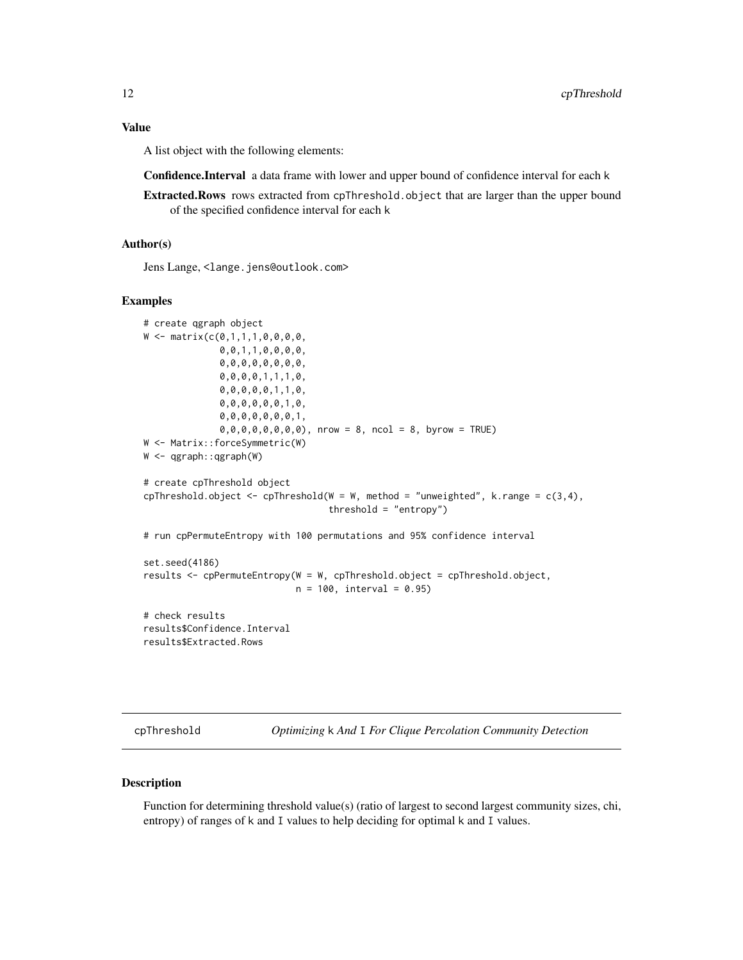## <span id="page-11-0"></span>Value

A list object with the following elements:

Confidence.Interval a data frame with lower and upper bound of confidence interval for each k

Extracted.Rows rows extracted from cpThreshold.object that are larger than the upper bound of the specified confidence interval for each k

## Author(s)

Jens Lange, <lange.jens@outlook.com>

## Examples

```
# create qgraph object
W \leq - matrix(c(0,1,1,1,0,0,0,0,0)0,0,1,1,0,0,0,0,
              0,0,0,0,0,0,0,0,
              0,0,0,0,1,1,1,0,
              0,0,0,0,0,1,1,0,
              0,0,0,0,0,0,1,0,
              0,0,0,0,0,0,0,1,
              0,0,0,0,0,0,0,0), nrow = 8, ncol = 8, byrow = TRUE)
W <- Matrix::forceSymmetric(W)
W <- qgraph::qgraph(W)
# create cpThreshold object
cpThreshold.object \leq cpThreshold(W = W, method = "unweighted", k.range = c(3,4),
                                   threshold = "entropy")
# run cpPermuteEntropy with 100 permutations and 95% confidence interval
set.seed(4186)
results <- cpPermuteEntropy(W = W, cpThreshold.object = cpThreshold.object,
                            n = 100, interval = 0.95)
# check results
results$Confidence.Interval
results$Extracted.Rows
```
<span id="page-11-1"></span>cpThreshold *Optimizing* k *And* I *For Clique Percolation Community Detection*

#### Description

Function for determining threshold value(s) (ratio of largest to second largest community sizes, chi, entropy) of ranges of k and I values to help deciding for optimal k and I values.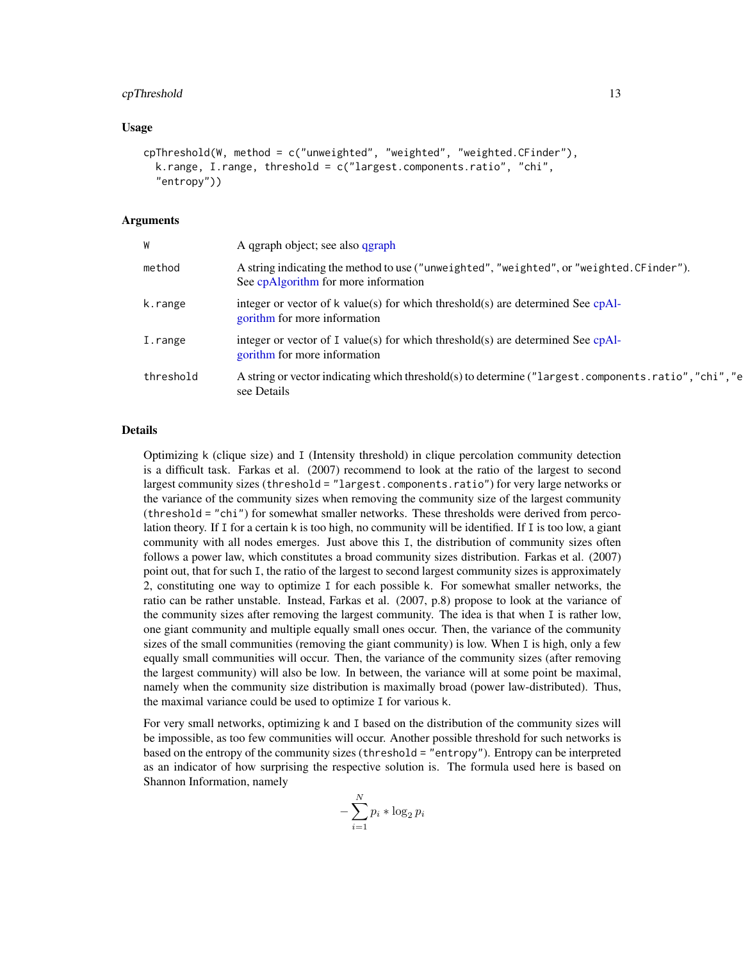#### <span id="page-12-0"></span>cpThreshold 13

## Usage

```
cpThreshold(W, method = c("unweighted", "weighted", "weighted.CFinder"),
  k.range, I.range, threshold = c("largest.components.ratio", "chi",
  "entropy"))
```
## Arguments

| W         | A qgraph object; see also qgraph                                                                                                  |
|-----------|-----------------------------------------------------------------------------------------------------------------------------------|
| method    | A string indicating the method to use ("unweighted", "weighted", or "weighted. CFinder").<br>See cpAlgorithm for more information |
| k.range   | integer or vector of $k$ value(s) for which threshold(s) are determined See cpAl-<br>gorithm for more information                 |
| I.range   | integer or vector of I value(s) for which threshold(s) are determined See $cpAl-$<br>gorithm for more information                 |
| threshold | A string or vector indicating which threshold(s) to determine ("largest.components.ratio","chi","e<br>see Details                 |

#### Details

Optimizing k (clique size) and I (Intensity threshold) in clique percolation community detection is a difficult task. Farkas et al. (2007) recommend to look at the ratio of the largest to second largest community sizes (threshold = "largest.components.ratio") for very large networks or the variance of the community sizes when removing the community size of the largest community (threshold = "chi") for somewhat smaller networks. These thresholds were derived from percolation theory. If I for a certain k is too high, no community will be identified. If I is too low, a giant community with all nodes emerges. Just above this I, the distribution of community sizes often follows a power law, which constitutes a broad community sizes distribution. Farkas et al. (2007) point out, that for such I, the ratio of the largest to second largest community sizes is approximately 2, constituting one way to optimize I for each possible k. For somewhat smaller networks, the ratio can be rather unstable. Instead, Farkas et al. (2007, p.8) propose to look at the variance of the community sizes after removing the largest community. The idea is that when I is rather low, one giant community and multiple equally small ones occur. Then, the variance of the community sizes of the small communities (removing the giant community) is low. When I is high, only a few equally small communities will occur. Then, the variance of the community sizes (after removing the largest community) will also be low. In between, the variance will at some point be maximal, namely when the community size distribution is maximally broad (power law-distributed). Thus, the maximal variance could be used to optimize I for various k.

For very small networks, optimizing k and I based on the distribution of the community sizes will be impossible, as too few communities will occur. Another possible threshold for such networks is based on the entropy of the community sizes (threshold = "entropy"). Entropy can be interpreted as an indicator of how surprising the respective solution is. The formula used here is based on Shannon Information, namely

$$
-\sum_{i=1}^N p_i * \log_2 p_i
$$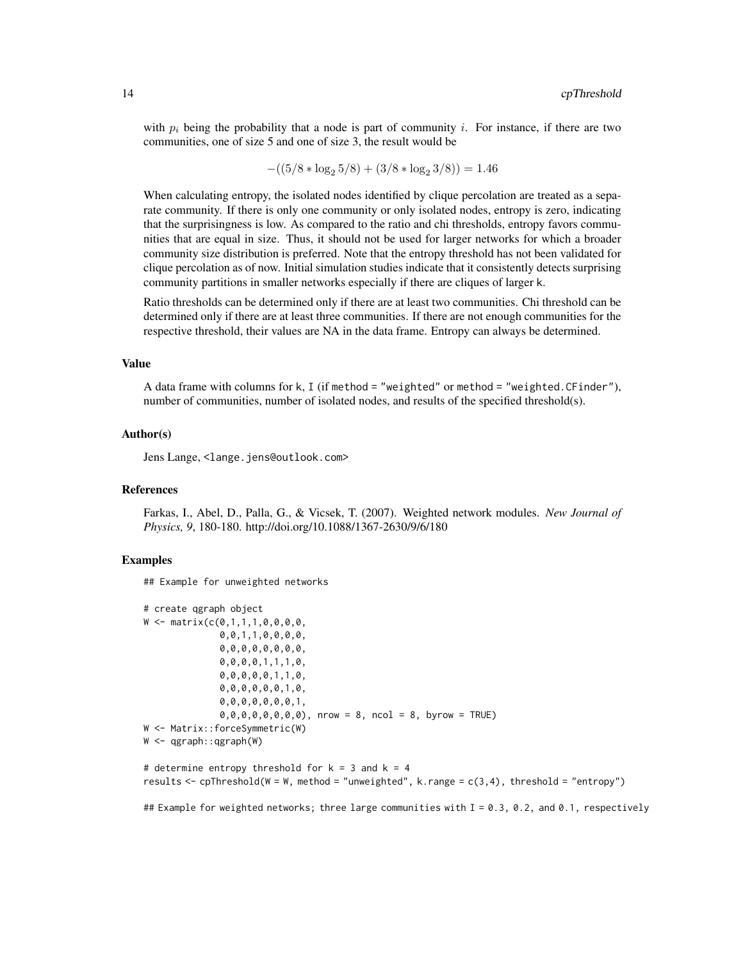with  $p_i$  being the probability that a node is part of community i. For instance, if there are two communities, one of size 5 and one of size 3, the result would be

$$
-((5/8 * log2 5/8) + (3/8 * log2 3/8)) = 1.46
$$

When calculating entropy, the isolated nodes identified by clique percolation are treated as a separate community. If there is only one community or only isolated nodes, entropy is zero, indicating that the surprisingness is low. As compared to the ratio and chi thresholds, entropy favors communities that are equal in size. Thus, it should not be used for larger networks for which a broader community size distribution is preferred. Note that the entropy threshold has not been validated for clique percolation as of now. Initial simulation studies indicate that it consistently detects surprising community partitions in smaller networks especially if there are cliques of larger k.

Ratio thresholds can be determined only if there are at least two communities. Chi threshold can be determined only if there are at least three communities. If there are not enough communities for the respective threshold, their values are NA in the data frame. Entropy can always be determined.

#### Value

A data frame with columns for k, I (if method = "weighted" or method = "weighted.CFinder"), number of communities, number of isolated nodes, and results of the specified threshold(s).

#### Author(s)

Jens Lange, <lange.jens@outlook.com>

#### References

Farkas, I., Abel, D., Palla, G., & Vicsek, T. (2007). Weighted network modules. *New Journal of Physics, 9*, 180-180. http://doi.org/10.1088/1367-2630/9/6/180

## Examples

## Example for unweighted networks

```
# create qgraph object
W \leq - matrix(c(0,1,1,1,0,0,0,0,
              0,0,1,1,0,0,0,0,
              0,0,0,0,0,0,0,0,
              0,0,0,0,1,1,1,0,
              0,0,0,0,0,1,1,0,
              0,0,0,0,0,0,1,0,
              0,0,0,0,0,0,0,1,
              0,0,0,0,0,0,0,0), nrow = 8, ncol = 8, byrow = TRUE)
W <- Matrix::forceSymmetric(W)
W <- qgraph::qgraph(W)
```
# determine entropy threshold for  $k = 3$  and  $k = 4$ results <- cpThreshold(W = W, method = "unweighted", k.range = c(3,4), threshold = "entropy")

## Example for weighted networks; three large communities with I = 0.3, 0.2, and 0.1, respectively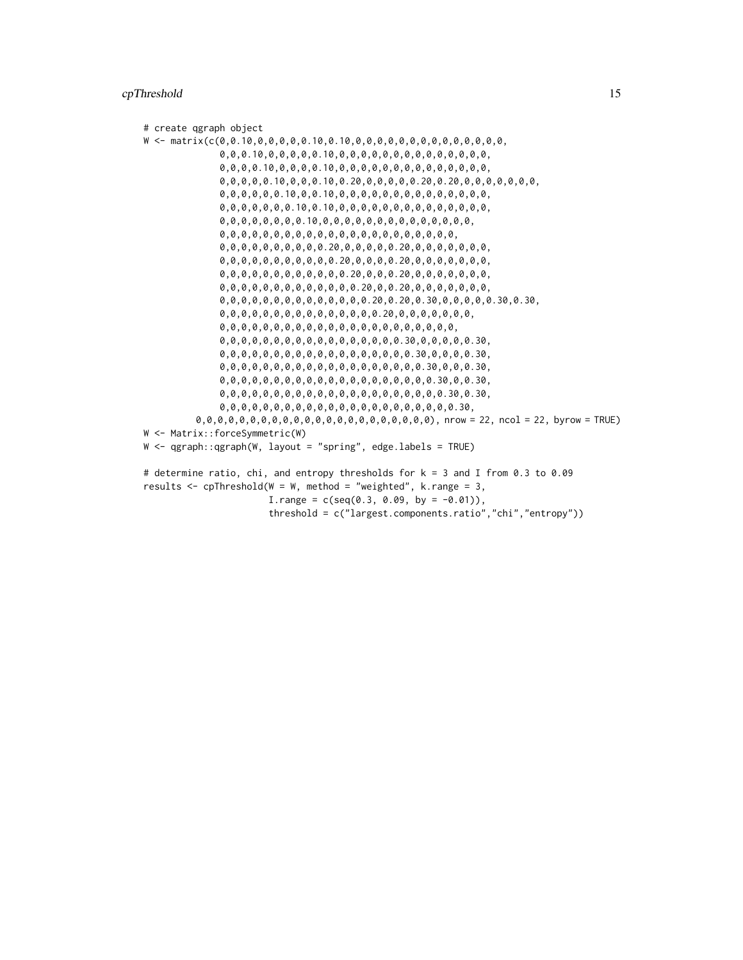## cpThreshold 15

```
# create qgraph object
W <- matrix(c(0,0.10,0,0,0,0,0.10,0.10,0,0,0,0,0,0,0,0,0,0,0,0,0,0,
              0,0,0.10,0,0,0,0,0.10,0,0,0,0,0,0,0,0,0,0,0,0,0,0,
              0,0,0,0.10,0,0,0,0.10,0,0,0,0,0,0,0,0,0,0,0,0,0,0,
              0,0,0,0,0.10,0,0,0.10,0.20,0,0,0,0,0.20,0.20,0,0,0,0,0,0,0,
              0,0,0,0,0,0.10,0,0.10,0,0,0,0,0,0,0,0,0,0,0,0,0,0,
              0,0,0,0,0,0,0.10,0.10,0,0,0,0,0,0,0,0,0,0,0,0,0,0,
              0,0,0,0,0,0,0,0.10,0,0,0,0,0,0,0,0,0,0,0,0,0,0,
              0,0,0,0,0,0,0,0,0,0,0,0,0,0,0,0,0,0,0,0,0,0,
              0,0,0,0,0,0,0,0,0,0.20,0,0,0,0,0.20,0,0,0,0,0,0,0,
              0,0,0,0,0,0,0,0,0,0,0.20,0,0,0,0.20,0,0,0,0,0,0,0,
              0,0,0,0,0,0,0,0,0,0,0,0.20,0,0,0.20,0,0,0,0,0,0,0,
              0,0,0,0,0,0,0,0,0,0,0,0,0.20,0,0.20,0,0,0,0,0,0,0,
              0,0,0,0,0,0,0,0,0,0,0,0,0,0.20,0.20,0.30,0,0,0,0,0.30,0.30,
              0,0,0,0,0,0,0,0,0,0,0,0,0,0,0.20,0,0,0,0,0,0,0,
              0,0,0,0,0,0,0,0,0,0,0,0,0,0,0,0,0,0,0,0,0,0,
              0,0,0,0,0,0,0,0,0,0,0,0,0,0,0,0,0.30,0,0,0,0,0.30,
              0,0,0,0,0,0,0,0,0,0,0,0,0,0,0,0,0,0.30,0,0,0,0.30,
              0,0,0,0,0,0,0,0,0,0,0,0,0,0,0,0,0,0,0.30,0,0,0.30,
              0,0,0,0,0,0,0,0,0,0,0,0,0,0,0,0,0,0,0,0.30,0,0.30,
              0,0,0,0,0,0,0,0,0,0,0,0,0,0,0,0,0,0,0,0,0.30,0.30,
              0,0,0,0,0,0,0,0,0,0,0,0,0,0,0,0,0,0,0,0,0,0.30,
         0,0,0,0,0,0,0,0,0,0,0,0,0,0,0,0,0,0,0,0,0,0), nrow = 22, ncol = 22, byrow = TRUE)
W <- Matrix::forceSymmetric(W)
W <- qgraph::qgraph(W, layout = "spring", edge.labels = TRUE)
# determine ratio, chi, and entropy thresholds for k = 3 and I from 0.3 to 0.09
results \leq cpThreshold(W = W, method = "weighted", k.range = 3,
                       I.random = c(seq(0.3, 0.09, by = -0.01)),threshold = c("largest.components.ratio","chi","entropy"))
```